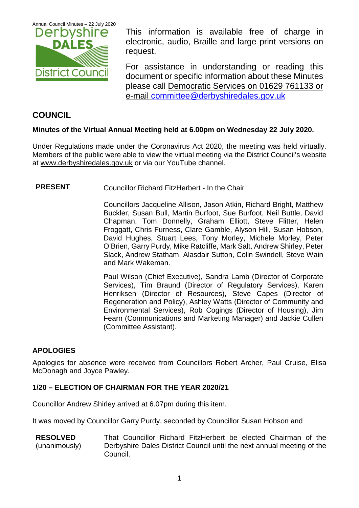

This information is available free of charge in electronic, audio, Braille and large print versions on request.

For assistance in understanding or reading this document or specific information about these Minutes please call Democratic Services on 01629 761133 or e-mail [committee@derbyshiredales.gov.uk](mailto:committee@derbyshiredales.gov.uk)

### **COUNCIL**

#### **Minutes of the Virtual Annual Meeting held at 6.00pm on Wednesday 22 July 2020.**

Under Regulations made under the Coronavirus Act 2020, the meeting was held virtually. Members of the public were able to view the virtual meeting via the District Council's website at [www.derbyshiredales.gov.uk](http://www.derbyshiredales.gov.uk/) or via our YouTube channel.

#### **PRESENT** Councillor Richard FitzHerbert - In the Chair

Councillors Jacqueline Allison, Jason Atkin, Richard Bright, Matthew Buckler, Susan Bull, Martin Burfoot, Sue Burfoot, Neil Buttle, David Chapman, Tom Donnelly, Graham Elliott, Steve Flitter, Helen Froggatt, Chris Furness, Clare Gamble, Alyson Hill, Susan Hobson, David Hughes, Stuart Lees, Tony Morley, Michele Morley, Peter O'Brien, Garry Purdy, Mike Ratcliffe, Mark Salt, Andrew Shirley, Peter Slack, Andrew Statham, Alasdair Sutton, Colin Swindell, Steve Wain and Mark Wakeman.

Paul Wilson (Chief Executive), Sandra Lamb (Director of Corporate Services), Tim Braund (Director of Regulatory Services), Karen Henriksen (Director of Resources), Steve Capes (Director of Regeneration and Policy), Ashley Watts (Director of Community and Environmental Services), Rob Cogings (Director of Housing), Jim Fearn (Communications and Marketing Manager) and Jackie Cullen (Committee Assistant).

#### **APOLOGIES**

Apologies for absence were received from Councillors Robert Archer, Paul Cruise, Elisa McDonagh and Joyce Pawley.

#### **1/20 – ELECTION OF CHAIRMAN FOR THE YEAR 2020/21**

Councillor Andrew Shirley arrived at 6.07pm during this item.

It was moved by Councillor Garry Purdy, seconded by Councillor Susan Hobson and

**RESOLVED** (unanimously) That Councillor Richard FitzHerbert be elected Chairman of the Derbyshire Dales District Council until the next annual meeting of the Council.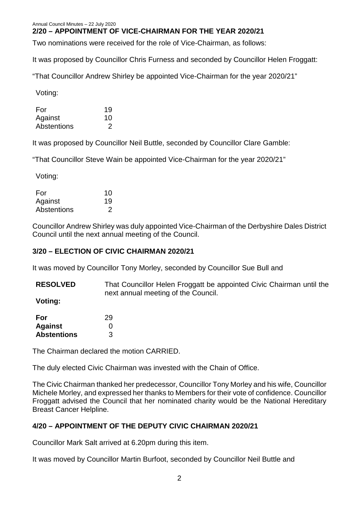#### **2/20 – APPOINTMENT OF VICE-CHAIRMAN FOR THE YEAR 2020/21**

Two nominations were received for the role of Vice-Chairman, as follows:

It was proposed by Councillor Chris Furness and seconded by Councillor Helen Froggatt:

"That Councillor Andrew Shirley be appointed Vice-Chairman for the year 2020/21"

Voting:

| For         | 19 |
|-------------|----|
| Against     | 10 |
| Abstentions |    |

It was proposed by Councillor Neil Buttle, seconded by Councillor Clare Gamble:

"That Councillor Steve Wain be appointed Vice-Chairman for the year 2020/21"

Voting:

| For         | 10 |
|-------------|----|
| Against     | 19 |
| Abstentions |    |

Councillor Andrew Shirley was duly appointed Vice-Chairman of the Derbyshire Dales District Council until the next annual meeting of the Council.

#### **3/20 – ELECTION OF CIVIC CHAIRMAN 2020/21**

It was moved by Councillor Tony Morley, seconded by Councillor Sue Bull and

**RESOLVED** That Councillor Helen Froggatt be appointed Civic Chairman until the next annual meeting of the Council.

**Voting:**

| For                | 29 |
|--------------------|----|
| <b>Against</b>     | 0  |
| <b>Abstentions</b> | 3  |

The Chairman declared the motion CARRIED.

The duly elected Civic Chairman was invested with the Chain of Office.

The Civic Chairman thanked her predecessor, Councillor Tony Morley and his wife, Councillor Michele Morley, and expressed her thanks to Members for their vote of confidence. Councillor Froggatt advised the Council that her nominated charity would be the National Hereditary Breast Cancer Helpline.

#### **4/20 – APPOINTMENT OF THE DEPUTY CIVIC CHAIRMAN 2020/21**

Councillor Mark Salt arrived at 6.20pm during this item.

It was moved by Councillor Martin Burfoot, seconded by Councillor Neil Buttle and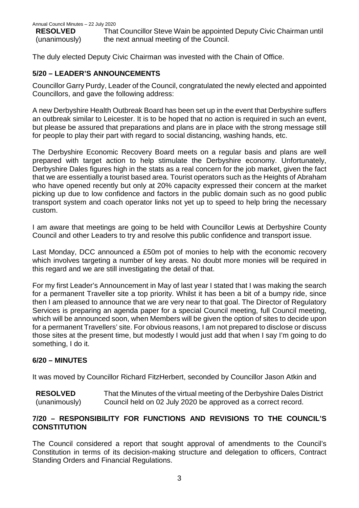**RESOLVED** (unanimously)

That Councillor Steve Wain be appointed Deputy Civic Chairman until the next annual meeting of the Council.

The duly elected Deputy Civic Chairman was invested with the Chain of Office.

#### **5/20 – LEADER'S ANNOUNCEMENTS**

Councillor Garry Purdy, Leader of the Council, congratulated the newly elected and appointed Councillors, and gave the following address:

A new Derbyshire Health Outbreak Board has been set up in the event that Derbyshire suffers an outbreak similar to Leicester. It is to be hoped that no action is required in such an event, but please be assured that preparations and plans are in place with the strong message still for people to play their part with regard to social distancing, washing hands, etc.

The Derbyshire Economic Recovery Board meets on a regular basis and plans are well prepared with target action to help stimulate the Derbyshire economy. Unfortunately, Derbyshire Dales figures high in the stats as a real concern for the job market, given the fact that we are essentially a tourist based area. Tourist operators such as the Heights of Abraham who have opened recently but only at 20% capacity expressed their concern at the market picking up due to low confidence and factors in the public domain such as no good public transport system and coach operator links not yet up to speed to help bring the necessary custom.

I am aware that meetings are going to be held with Councillor Lewis at Derbyshire County Council and other Leaders to try and resolve this public confidence and transport issue.

Last Monday, DCC announced a £50m pot of monies to help with the economic recovery which involves targeting a number of key areas. No doubt more monies will be required in this regard and we are still investigating the detail of that.

For my first Leader's Announcement in May of last year I stated that I was making the search for a permanent Traveller site a top priority. Whilst it has been a bit of a bumpy ride, since then I am pleased to announce that we are very near to that goal. The Director of Regulatory Services is preparing an agenda paper for a special Council meeting, full Council meeting, which will be announced soon, when Members will be given the option of sites to decide upon for a permanent Travellers' site. For obvious reasons, I am not prepared to disclose or discuss those sites at the present time, but modestly I would just add that when I say I'm going to do something, I do it.

#### **6/20 – MINUTES**

It was moved by Councillor Richard FitzHerbert, seconded by Councillor Jason Atkin and

**RESOLVED** (unanimously) That the Minutes of the virtual meeting of the Derbyshire Dales District Council held on 02 July 2020 be approved as a correct record.

#### **7/20 – RESPONSIBILITY FOR FUNCTIONS AND REVISIONS TO THE COUNCIL'S CONSTITUTION**

The Council considered a report that sought approval of amendments to the Council's Constitution in terms of its decision-making structure and delegation to officers, Contract Standing Orders and Financial Regulations.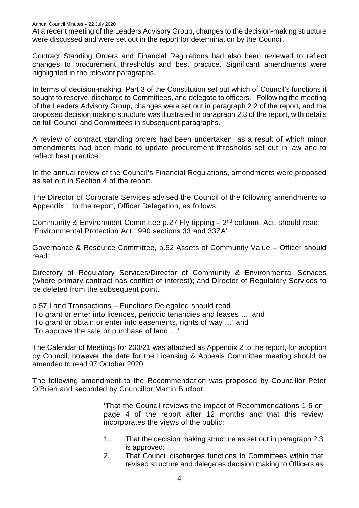At a recent meeting of the Leaders Advisory Group, changes to the decision-making structure were discussed and were set out in the report for determination by the Council.

Contract Standing Orders and Financial Regulations had also been reviewed to reflect changes to procurement thresholds and best practice. Significant amendments were highlighted in the relevant paragraphs.

In terms of decision-making, Part 3 of the Constitution set out which of Council's functions it sought to reserve, discharge to Committees, and delegate to officers. Following the meeting of the Leaders Advisory Group, changes were set out in paragraph 2.2 of the report, and the proposed decision making structure was illustrated in paragraph 2.3 of the report, with details on full Council and Committees in subsequent paragraphs.

A review of contract standing orders had been undertaken, as a result of which minor amendments had been made to update procurement thresholds set out in law and to reflect best practice.

In the annual review of the Council's Financial Regulations, amendments were proposed as set out in Section 4 of the report.

The Director of Corporate Services advised the Council of the following amendments to Appendix 1 to the report, Officer Delegation, as follows:

Community & Environment Committee p.27 Fly tipping  $-2<sup>nd</sup>$  column, Act, should read: 'Environmental Protection Act 1990 sections 33 and 33ZA'

Governance & Resource Committee, p.52 Assets of Community Value – Officer should read:

Directory of Regulatory Services/Director of Community & Environmental Services (where primary contract has conflict of interest); and Director of Regulatory Services to be deleted from the subsequent point.

p.57 Land Transactions – Functions Delegated should read 'To grant or enter into licences, periodic tenancies and leases …' and 'To grant or obtain or enter into easements, rights of way …' and 'To approve the sale or purchase of land …'

The Calendar of Meetings for 200/21 was attached as Appendix 2 to the report, for adoption by Council; however the date for the Licensing & Appeals Committee meeting should be amended to read 07 October 2020.

The following amendment to the Recommendation was proposed by Councillor Peter O'Brien and seconded by Councillor Martin Burfoot:

> 'That the Council reviews the impact of Recommendations 1-5 on page 4 of the report after 12 months and that this review incorporates the views of the public:

- 1. That the decision making structure as set out in paragraph 2.3 is approved;
- 2. That Council discharges functions to Committees within that revised structure and delegates decision making to Officers as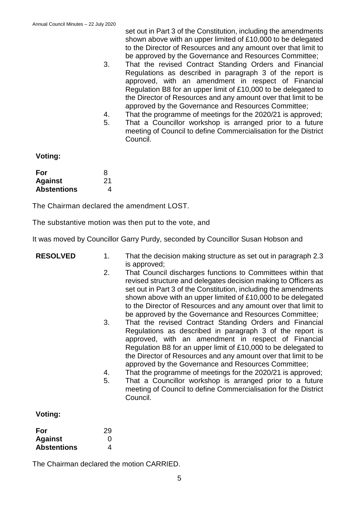set out in Part 3 of the Constitution, including the amendments shown above with an upper limited of £10,000 to be delegated to the Director of Resources and any amount over that limit to be approved by the Governance and Resources Committee;

- 3. That the revised Contract Standing Orders and Financial Regulations as described in paragraph 3 of the report is approved, with an amendment in respect of Financial Regulation B8 for an upper limit of £10,000 to be delegated to the Director of Resources and any amount over that limit to be approved by the Governance and Resources Committee;
- 4. That the programme of meetings for the 2020/21 is approved;
- 5. That a Councillor workshop is arranged prior to a future meeting of Council to define Commercialisation for the District Council.

**Voting:**

| For                | 8  |
|--------------------|----|
| <b>Against</b>     | 21 |
| <b>Abstentions</b> | 4  |

The Chairman declared the amendment LOST.

The substantive motion was then put to the vote, and

It was moved by Councillor Garry Purdy, seconded by Councillor Susan Hobson and

| <b>RESOLVED</b> | 1 <sub>1</sub><br>2.<br>3. | That the decision making structure as set out in paragraph 2.3<br>is approved;<br>That Council discharges functions to Committees within that<br>revised structure and delegates decision making to Officers as<br>set out in Part 3 of the Constitution, including the amendments<br>shown above with an upper limited of £10,000 to be delegated<br>to the Director of Resources and any amount over that limit to<br>be approved by the Governance and Resources Committee;<br>That the revised Contract Standing Orders and Financial |
|-----------------|----------------------------|-------------------------------------------------------------------------------------------------------------------------------------------------------------------------------------------------------------------------------------------------------------------------------------------------------------------------------------------------------------------------------------------------------------------------------------------------------------------------------------------------------------------------------------------|
|                 | 4.<br>5.                   | Regulations as described in paragraph 3 of the report is<br>approved, with an amendment in respect of Financial<br>Regulation B8 for an upper limit of £10,000 to be delegated to<br>the Director of Resources and any amount over that limit to be<br>approved by the Governance and Resources Committee;<br>That the programme of meetings for the 2020/21 is approved;<br>That a Councillor workshop is arranged prior to a future<br>meeting of Council to define Commercialisation for the District<br>Council.                      |
| Voting:         |                            |                                                                                                                                                                                                                                                                                                                                                                                                                                                                                                                                           |
| For             | 29                         |                                                                                                                                                                                                                                                                                                                                                                                                                                                                                                                                           |

| ີ |
|---|
| 0 |
| 4 |
|   |

The Chairman declared the motion CARRIED.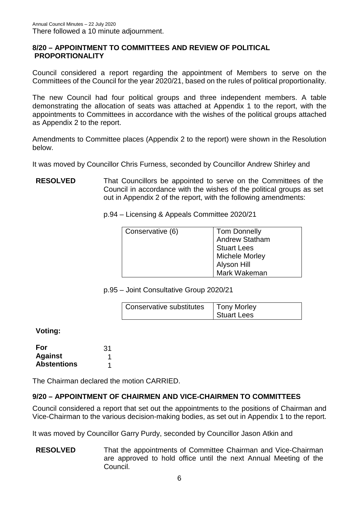#### **8/20 – APPOINTMENT TO COMMITTEES AND REVIEW OF POLITICAL PROPORTIONALITY**

Council considered a report regarding the appointment of Members to serve on the Committees of the Council for the year 2020/21, based on the rules of political proportionality.

The new Council had four political groups and three independent members. A table demonstrating the allocation of seats was attached at Appendix 1 to the report, with the appointments to Committees in accordance with the wishes of the political groups attached as Appendix 2 to the report.

Amendments to Committee places (Appendix 2 to the report) were shown in the Resolution below.

It was moved by Councillor Chris Furness, seconded by Councillor Andrew Shirley and

**RESOLVED** That Councillors be appointed to serve on the Committees of the Council in accordance with the wishes of the political groups as set out in Appendix 2 of the report, with the following amendments:

p.94 – Licensing & Appeals Committee 2020/21

| Conservative (6) | <b>Tom Donnelly</b><br>Andrew Statham |
|------------------|---------------------------------------|
|                  | <b>Stuart Lees</b><br>Michele Morley  |
|                  | Alyson Hill<br>Mark Wakeman           |

p.95 – Joint Consultative Group 2020/21

| Conservative substitutes | <b>Tony Morley</b> |
|--------------------------|--------------------|
|                          | Stuart Lees        |

**Voting:**

| For                | 31 |
|--------------------|----|
| <b>Against</b>     |    |
| <b>Abstentions</b> |    |

The Chairman declared the motion CARRIED.

#### **9/20 – APPOINTMENT OF CHAIRMEN AND VICE-CHAIRMEN TO COMMITTEES**

Council considered a report that set out the appointments to the positions of Chairman and Vice-Chairman to the various decision-making bodies, as set out in Appendix 1 to the report.

It was moved by Councillor Garry Purdy, seconded by Councillor Jason Atkin and

**RESOLVED** That the appointments of Committee Chairman and Vice-Chairman are approved to hold office until the next Annual Meeting of the Council.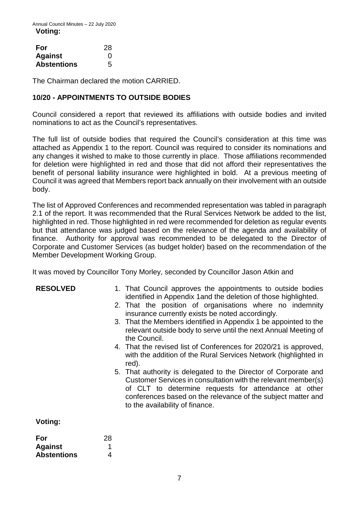| For                | 28 |
|--------------------|----|
| <b>Against</b>     | O  |
| <b>Abstentions</b> | 5  |

The Chairman declared the motion CARRIED.

#### **10/20 - APPOINTMENTS TO OUTSIDE BODIES**

Council considered a report that reviewed its affiliations with outside bodies and invited nominations to act as the Council's representatives.

The full list of outside bodies that required the Council's consideration at this time was attached as Appendix 1 to the report. Council was required to consider its nominations and any changes it wished to make to those currently in place. Those affiliations recommended for deletion were highlighted in red and those that did not afford their representatives the benefit of personal liability insurance were highlighted in bold. At a previous meeting of Council it was agreed that Members report back annually on their involvement with an outside body.

The list of Approved Conferences and recommended representation was tabled in paragraph 2.1 of the report. It was recommended that the Rural Services Network be added to the list, highlighted in red. Those highlighted in red were recommended for deletion as regular events but that attendance was judged based on the relevance of the agenda and availability of finance. Authority for approval was recommended to be delegated to the Director of Corporate and Customer Services (as budget holder) based on the recommendation of the Member Development Working Group.

It was moved by Councillor Tony Morley, seconded by Councillor Jason Atkin and

| <b>RESOLVED</b> | 1. That Council approves the appointments to outside bodies<br>identified in Appendix 1 and the deletion of those highlighted.                                                                                                                                                              |
|-----------------|---------------------------------------------------------------------------------------------------------------------------------------------------------------------------------------------------------------------------------------------------------------------------------------------|
|                 | 2. That the position of organisations where no indemnity<br>insurance currently exists be noted accordingly.                                                                                                                                                                                |
|                 | 3. That the Members identified in Appendix 1 be appointed to the<br>relevant outside body to serve until the next Annual Meeting of<br>the Council.                                                                                                                                         |
|                 | 4. That the revised list of Conferences for 2020/21 is approved,<br>with the addition of the Rural Services Network (highlighted in<br>red).                                                                                                                                                |
|                 | 5. That authority is delegated to the Director of Corporate and<br>Customer Services in consultation with the relevant member(s)<br>of CLT to determine requests for attendance at other<br>conferences based on the relevance of the subject matter and<br>to the availability of finance. |
| Voting:         |                                                                                                                                                                                                                                                                                             |
|                 |                                                                                                                                                                                                                                                                                             |

| For                | 28 |
|--------------------|----|
| <b>Against</b>     |    |
| <b>Abstentions</b> | 4  |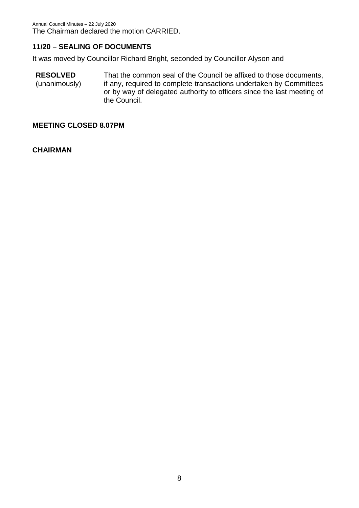#### **11/20 – SEALING OF DOCUMENTS**

It was moved by Councillor Richard Bright, seconded by Councillor Alyson and

**RESOLVED** (unanimously) That the common seal of the Council be affixed to those documents, if any, required to complete transactions undertaken by Committees or by way of delegated authority to officers since the last meeting of the Council.

#### **MEETING CLOSED 8.07PM**

**CHAIRMAN**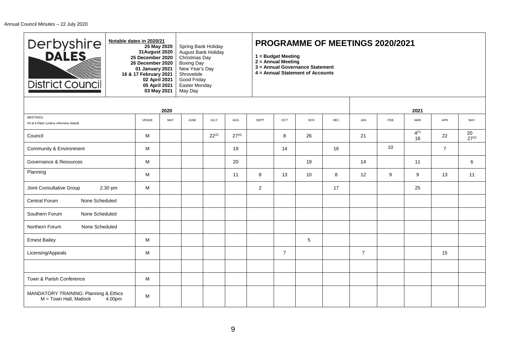| Derbyshire<br><b>District Council</b>                                       | Notable dates in 2020/21<br>25 May 2020<br>31 August 2020<br>25 December 2020<br>26 December 2020<br>01 January 2021<br>16 & 17 February 2021<br>02 April 2021<br>05 April 2021<br>03 May 2021 |      | Spring Bank Holiday<br>August Bank Holiday<br>Christmas Day<br><b>Boxing Day</b><br>New Year's Day<br>Shrovetide<br>Good Friday<br>Easter Monday<br>May Day |            |            | <b>PROGRAMME OF MEETINGS 2020/2021</b><br>1 = Budget Meeting<br>$2 =$ Annual Meeting<br>3 = Annual Governance Statement<br>4 = Annual Statement of Accounts |                |            |     |                |                 |                 |                |                  |
|-----------------------------------------------------------------------------|------------------------------------------------------------------------------------------------------------------------------------------------------------------------------------------------|------|-------------------------------------------------------------------------------------------------------------------------------------------------------------|------------|------------|-------------------------------------------------------------------------------------------------------------------------------------------------------------|----------------|------------|-----|----------------|-----------------|-----------------|----------------|------------------|
|                                                                             |                                                                                                                                                                                                | 2020 |                                                                                                                                                             |            |            |                                                                                                                                                             |                |            |     |                |                 | 2021            |                |                  |
| <b>MEETINGS</b><br>All at 6.00pm (unless otherwise stated)                  | <b>VENUE</b>                                                                                                                                                                                   | MAY  | JUNE                                                                                                                                                        | JULY       | AUG        | <b>SEPT</b>                                                                                                                                                 | OCT            | <b>NOV</b> | DEC | JAN            | <b>FEB</b>      | <b>MAR</b>      | APR            | MAY              |
| Council                                                                     | м                                                                                                                                                                                              |      |                                                                                                                                                             | $22^{(2)}$ | $27^{(4)}$ |                                                                                                                                                             | 8              | 26         |     | 21             |                 | $4^{(1)}$<br>18 | 22             | 20<br>$27^{(2)}$ |
| Community & Environment                                                     | М                                                                                                                                                                                              |      |                                                                                                                                                             |            | 19         |                                                                                                                                                             | 14             |            | 16  |                | 10 <sup>1</sup> |                 | $\overline{7}$ |                  |
| Governance & Resources                                                      | М                                                                                                                                                                                              |      |                                                                                                                                                             |            | 20         |                                                                                                                                                             |                | 19         |     | 14             |                 | 11              |                | 6                |
| Planning                                                                    | М                                                                                                                                                                                              |      |                                                                                                                                                             |            | 11         | 8                                                                                                                                                           | 13             | 10         | 8   | 12             | 9               | 9               | 13             | 11               |
| Joint Consultative Group<br>2.30 pm                                         | М                                                                                                                                                                                              |      |                                                                                                                                                             |            |            | $\overline{2}$                                                                                                                                              |                |            | 17  |                |                 | 25              |                |                  |
| Central Forum<br>None Scheduled                                             |                                                                                                                                                                                                |      |                                                                                                                                                             |            |            |                                                                                                                                                             |                |            |     |                |                 |                 |                |                  |
| None Scheduled<br>Southern Forum                                            |                                                                                                                                                                                                |      |                                                                                                                                                             |            |            |                                                                                                                                                             |                |            |     |                |                 |                 |                |                  |
| Northern Forum<br>None Scheduled                                            |                                                                                                                                                                                                |      |                                                                                                                                                             |            |            |                                                                                                                                                             |                |            |     |                |                 |                 |                |                  |
| <b>Ernest Bailey</b>                                                        | М                                                                                                                                                                                              |      |                                                                                                                                                             |            |            |                                                                                                                                                             |                | 5          |     |                |                 |                 |                |                  |
| Licensing/Appeals                                                           | м                                                                                                                                                                                              |      |                                                                                                                                                             |            |            |                                                                                                                                                             | $\overline{7}$ |            |     | $\overline{7}$ |                 |                 | 15             |                  |
|                                                                             |                                                                                                                                                                                                |      |                                                                                                                                                             |            |            |                                                                                                                                                             |                |            |     |                |                 |                 |                |                  |
| Town & Parish Conference                                                    | м                                                                                                                                                                                              |      |                                                                                                                                                             |            |            |                                                                                                                                                             |                |            |     |                |                 |                 |                |                  |
| MANDATORY TRAINING: Planning & Ethics<br>$M = Town$ Hall, Matlock<br>4.00pm | М                                                                                                                                                                                              |      |                                                                                                                                                             |            |            |                                                                                                                                                             |                |            |     |                |                 |                 |                |                  |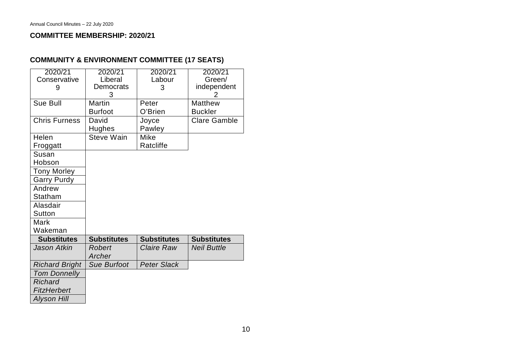#### **COMMITTEE MEMBERSHIP: 2020/21**

| 2020/21<br>Conservative | 2020/21<br>Liberal | 2020/21<br>Labour  | $2020/\overline{21}$<br>Green/ |
|-------------------------|--------------------|--------------------|--------------------------------|
| 9                       | Democrats<br>3     | 3                  | independent<br>2               |
| Sue Bull                | Martin             | Peter              | <b>Matthew</b>                 |
|                         | <b>Burfoot</b>     | O'Brien            | <b>Buckler</b>                 |
| <b>Chris Furness</b>    | David              | Joyce              | <b>Clare Gamble</b>            |
|                         | Hughes             | Pawley             |                                |
| Helen                   | <b>Steve Wain</b>  | Mike               |                                |
| Froggatt                |                    | Ratcliffe          |                                |
| Susan                   |                    |                    |                                |
| Hobson                  |                    |                    |                                |
| <b>Tony Morley</b>      |                    |                    |                                |
| <b>Garry Purdy</b>      |                    |                    |                                |
| Andrew                  |                    |                    |                                |
| Statham                 |                    |                    |                                |
| Alasdair                |                    |                    |                                |
| Sutton                  |                    |                    |                                |
| Mark                    |                    |                    |                                |
| Wakeman                 |                    |                    |                                |
| <b>Substitutes</b>      | <b>Substitutes</b> | <b>Substitutes</b> | <b>Substitutes</b>             |
| Jason Atkin             | <b>Robert</b>      | Claire Raw         | <b>Neil Buttle</b>             |
|                         | Archer             |                    |                                |
| <b>Richard Bright</b>   | <b>Sue Burfoot</b> | <b>Peter Slack</b> |                                |
| <b>Tom Donnelly</b>     |                    |                    |                                |
| <b>Richard</b>          |                    |                    |                                |
| FitzHerbert             |                    |                    |                                |
| <b>Alyson Hill</b>      |                    |                    |                                |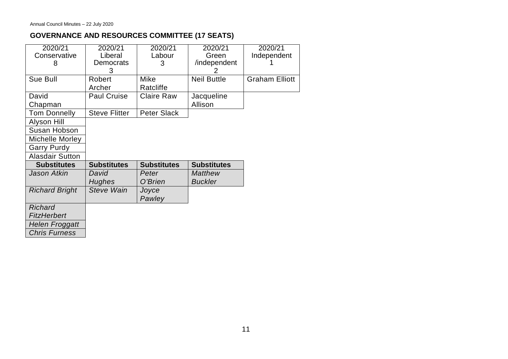## **GOVERNANCE AND RESOURCES COMMITTEE (17 SEATS)**

| 2020/21                | 2020/21              | 2020/21            | 2020/21            | 2020/21               |
|------------------------|----------------------|--------------------|--------------------|-----------------------|
| Conservative           | Liberal              | Labour             | Green              | Independent           |
| 8                      | Democrats            | 3                  | /independent       |                       |
|                        | 3                    |                    |                    |                       |
| Sue Bull               | Robert               | Mike               | <b>Neil Buttle</b> | <b>Graham Elliott</b> |
|                        | Archer               | Ratcliffe          |                    |                       |
| David                  | <b>Paul Cruise</b>   | <b>Claire Raw</b>  | Jacqueline         |                       |
| Chapman                |                      |                    | Allison            |                       |
| <b>Tom Donnelly</b>    | <b>Steve Flitter</b> | <b>Peter Slack</b> |                    |                       |
| Alyson Hill            |                      |                    |                    |                       |
| Susan Hobson           |                      |                    |                    |                       |
| Michelle Morley        |                      |                    |                    |                       |
| <b>Garry Purdy</b>     |                      |                    |                    |                       |
| <b>Alasdair Sutton</b> |                      |                    |                    |                       |
| <b>Substitutes</b>     | <b>Substitutes</b>   | <b>Substitutes</b> | <b>Substitutes</b> |                       |
| <b>Jason Atkin</b>     | David                | Peter              | <b>Matthew</b>     |                       |
|                        | Hughes               | O'Brien            | <b>Buckler</b>     |                       |
| <b>Richard Bright</b>  | <b>Steve Wain</b>    | Joyce              |                    |                       |
|                        |                      | Pawley             |                    |                       |
| <b>Richard</b>         |                      |                    |                    |                       |
| <b>FitzHerbert</b>     |                      |                    |                    |                       |
| <b>Helen Froggatt</b>  |                      |                    |                    |                       |
| <b>Chris Furness</b>   |                      |                    |                    |                       |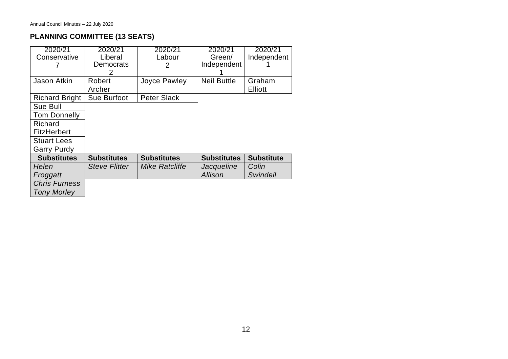# **PLANNING COMMITTEE (13 SEATS)**

| 2020/21<br>Conservative | 2020/21<br>Liberal | 2020/21<br>Labour  | 2020/21<br>Green/  | 2020/21<br>Independent   |
|-------------------------|--------------------|--------------------|--------------------|--------------------------|
|                         | Democrats<br>2     | 2                  | Independent        |                          |
| Jason Atkin             | Robert<br>Archer   | Joyce Pawley       | <b>Neil Buttle</b> | Graham<br><b>Elliott</b> |
| <b>Richard Bright</b>   | Sue Burfoot        | <b>Peter Slack</b> |                    |                          |
| Sue Bull                |                    |                    |                    |                          |
| <b>Tom Donnelly</b>     |                    |                    |                    |                          |
| Richard                 |                    |                    |                    |                          |
| <b>FitzHerbert</b>      |                    |                    |                    |                          |
| <b>Stuart Lees</b>      |                    |                    |                    |                          |
| <b>Garry Purdy</b>      |                    |                    |                    |                          |
| <b>Substitutes</b>      | <b>Substitutes</b> | <b>Substitutes</b> | <b>Substitutes</b> | <b>Substitute</b>        |
| Helen                   | Steve Flitter      | Mike Ratcliffe     | Jacqueline         | Colin                    |
| Froggatt                |                    |                    | <b>Allison</b>     | <b>Swindell</b>          |
| <b>Chris Furness</b>    |                    |                    |                    |                          |
| <b>Tony Morley</b>      |                    |                    |                    |                          |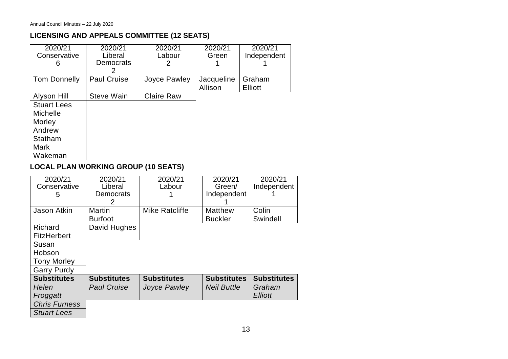### **LICENSING AND APPEALS COMMITTEE (12 SEATS)**

| 2020/21<br>Conservative | 2020/21<br>Liberal    | 2020/21<br>Labour | 2020/21<br>Green      | 2020/21<br>Independent |
|-------------------------|-----------------------|-------------------|-----------------------|------------------------|
| 6                       | <b>Democrats</b><br>2 | 2                 |                       |                        |
| <b>Tom Donnelly</b>     | <b>Paul Cruise</b>    | Joyce Pawley      | Jacqueline<br>Allison | Graham<br>Elliott      |
| Alyson Hill             | <b>Steve Wain</b>     | <b>Claire Raw</b> |                       |                        |
| <b>Stuart Lees</b>      |                       |                   |                       |                        |
| <b>Michelle</b>         |                       |                   |                       |                        |
| Morley                  |                       |                   |                       |                        |
| Andrew                  |                       |                   |                       |                        |
| Statham                 |                       |                   |                       |                        |
| Mark                    |                       |                   |                       |                        |
| Wakeman                 |                       |                   |                       |                        |

## **LOCAL PLAN WORKING GROUP (10 SEATS)**

| 2020/21              | 2020/21            | 2020/21            | 2020/21            | 2020/21            |
|----------------------|--------------------|--------------------|--------------------|--------------------|
| Conservative         | Liberal            | Labour             | Green/             | Independent        |
| 5                    | <b>Democrats</b>   |                    | Independent        |                    |
|                      | 2                  |                    |                    |                    |
| Jason Atkin          | Martin             | Mike Ratcliffe     | <b>Matthew</b>     | Colin              |
|                      | <b>Burfoot</b>     |                    | <b>Buckler</b>     | Swindell           |
| Richard              | David Hughes       |                    |                    |                    |
| <b>FitzHerbert</b>   |                    |                    |                    |                    |
| Susan                |                    |                    |                    |                    |
| Hobson               |                    |                    |                    |                    |
| <b>Tony Morley</b>   |                    |                    |                    |                    |
| <b>Garry Purdy</b>   |                    |                    |                    |                    |
| <b>Substitutes</b>   | <b>Substitutes</b> | <b>Substitutes</b> | <b>Substitutes</b> | <b>Substitutes</b> |
| Helen                | <b>Paul Cruise</b> | Joyce Pawley       | <b>Neil Buttle</b> | Graham             |
| Froggatt             |                    |                    |                    | <b>Elliott</b>     |
| <b>Chris Furness</b> |                    |                    |                    |                    |
| <b>Stuart Lees</b>   |                    |                    |                    |                    |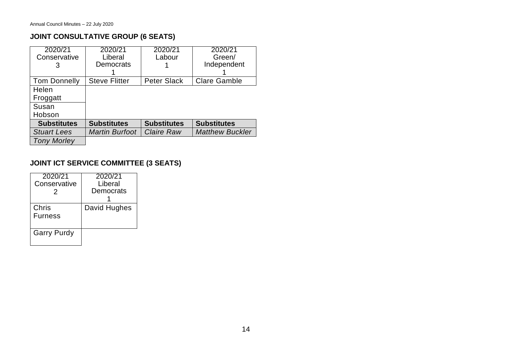## **JOINT CONSULTATIVE GROUP (6 SEATS)**

| 2020/21<br>Conservative | 2020/21<br>Liberal    | 2020/21<br>Labour  | 2020/21<br>Green/      |
|-------------------------|-----------------------|--------------------|------------------------|
| 3                       | Democrats             |                    | Independent            |
| <b>Tom Donnelly</b>     | <b>Steve Flitter</b>  | <b>Peter Slack</b> | <b>Clare Gamble</b>    |
| Helen                   |                       |                    |                        |
| Froggatt                |                       |                    |                        |
| Susan                   |                       |                    |                        |
| Hobson                  |                       |                    |                        |
| <b>Substitutes</b>      | <b>Substitutes</b>    | <b>Substitutes</b> | <b>Substitutes</b>     |
| <b>Stuart Lees</b>      | <b>Martin Burfoot</b> | <b>Claire Raw</b>  | <b>Matthew Buckler</b> |
| <b>Tony Morley</b>      |                       |                    |                        |

### **JOINT ICT SERVICE COMMITTEE (3 SEATS)**

| 2020/21<br>Conservative<br>2 | 2020/21<br>Liberal<br>Democrats |
|------------------------------|---------------------------------|
| Chris<br><b>Furness</b>      | David Hughes                    |
| <b>Garry Purdy</b>           |                                 |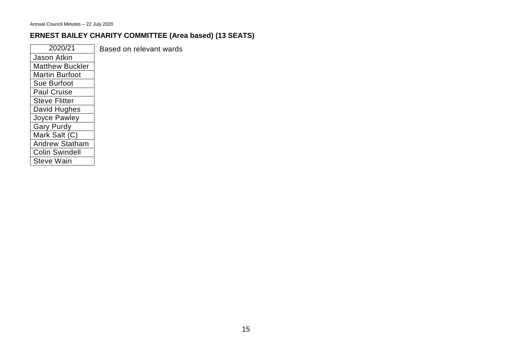# **ERNEST BAILEY CHARITY COMMITTEE (Area based) (13 SEATS)**

| 2020/21                | Based on relevant wards |
|------------------------|-------------------------|
| Jason Atkin            |                         |
| <b>Matthew Buckler</b> |                         |
| <b>Martin Burfoot</b>  |                         |
| Sue Burfoot            |                         |
| <b>Paul Cruise</b>     |                         |
| <b>Steve Flitter</b>   |                         |
| David Hughes           |                         |
| Joyce Pawley           |                         |
| <b>Gary Purdy</b>      |                         |
| Mark Salt (C)          |                         |
| <b>Andrew Statham</b>  |                         |
| <b>Colin Swindell</b>  |                         |
| Steve Wain             |                         |